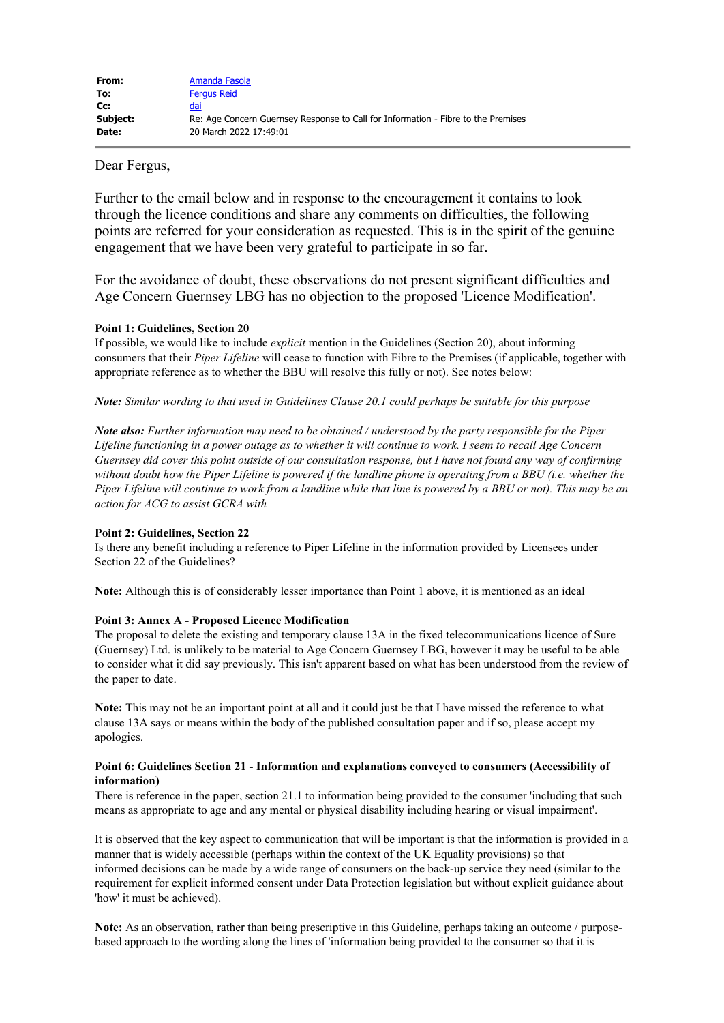# Dear Fergus,

Further to the email below and in response to the encouragement it contains to look through the licence conditions and share any comments on difficulties, the following points are referred for your consideration as requested. This is in the spirit of the genuine engagement that we have been very grateful to participate in so far.

For the avoidance of doubt, these observations do not present significant difficulties and Age Concern Guernsey LBG has no objection to the proposed 'Licence Modification'.

### **Point 1: Guidelines, Section 20**

If possible, we would like to include *explicit* mention in the Guidelines (Section 20), about informing consumers that their *Piper Lifeline* will cease to function with Fibre to the Premises (if applicable, together with appropriate reference as to whether the BBU will resolve this fully or not). See notes below:

*Note: Similar wording to that used in Guidelines Clause 20.1 could perhaps be suitable for this purpose*

*Note also: Further information may need to be obtained / understood by the party responsible for the Piper Lifeline functioning in a power outage as to whether it will continue to work. I seem to recall Age Concern Guernsey did cover this point outside of our consultation response, but I have not found any way of confirming without doubt how the Piper Lifeline is powered if the landline phone is operating from a BBU (i.e. whether the Piper Lifeline will continue to work from a landline while that line is powered by a BBU or not). This may be an action for ACG to assist GCRA with*

## **Point 2: Guidelines, Section 22**

Is there any benefit including a reference to Piper Lifeline in the information provided by Licensees under Section 22 of the Guidelines?

**Note:** Although this is of considerably lesser importance than Point 1 above, it is mentioned as an ideal

## **Point 3: Annex A - Proposed Licence Modification**

The proposal to delete the existing and temporary clause 13A in the fixed telecommunications licence of Sure (Guernsey) Ltd. is unlikely to be material to Age Concern Guernsey LBG, however it may be useful to be able to consider what it did say previously. This isn't apparent based on what has been understood from the review of the paper to date.

**Note:** This may not be an important point at all and it could just be that I have missed the reference to what clause 13A says or means within the body of the published consultation paper and if so, please accept my apologies.

## **Point 6: Guidelines Section 21 - Information and explanations conveyed to consumers (Accessibility of information)**

There is reference in the paper, section 21.1 to information being provided to the consumer 'including that such means as appropriate to age and any mental or physical disability including hearing or visual impairment'.

It is observed that the key aspect to communication that will be important is that the information is provided in a manner that is widely accessible (perhaps within the context of the UK Equality provisions) so that informed decisions can be made by a wide range of consumers on the back-up service they need (similar to the requirement for explicit informed consent under Data Protection legislation but without explicit guidance about 'how' it must be achieved).

**Note:** As an observation, rather than being prescriptive in this Guideline, perhaps taking an outcome / purposebased approach to the wording along the lines of 'information being provided to the consumer so that it is